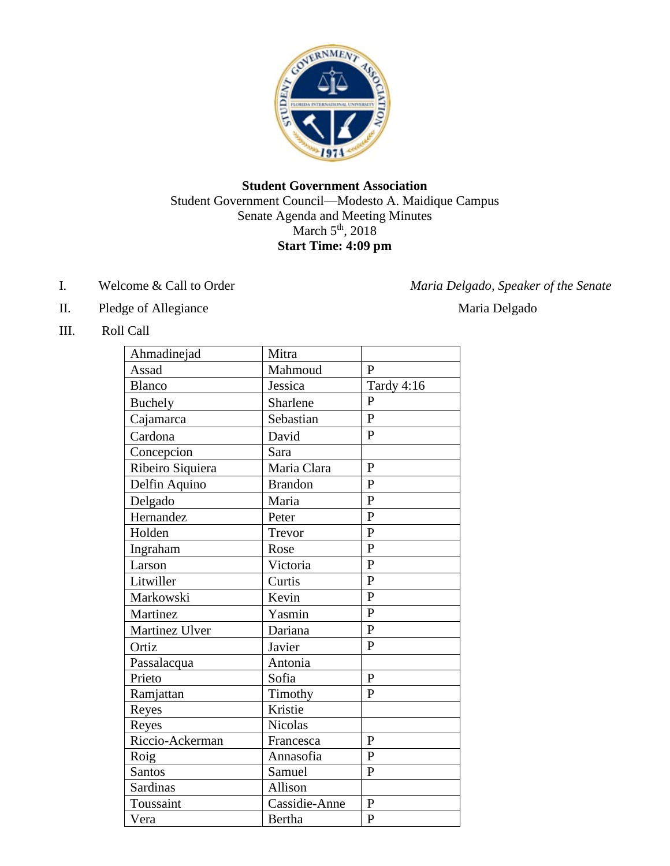

## **Student Government Association** Student Government Council—Modesto A. Maidique Campus Senate Agenda and Meeting Minutes March  $5<sup>th</sup>$ , 2018 **Start Time: 4:09 pm**

- 
- II. Pledge of Allegiance Maria Delgado
- III. Roll Call

| Ahmadinejad      | Mitra          |                |
|------------------|----------------|----------------|
| Assad            | Mahmoud        | $\mathbf{P}$   |
| Blanco           | Jessica        | Tardy 4:16     |
| <b>Buchely</b>   | Sharlene       | $\overline{P}$ |
| Cajamarca        | Sebastian      | $\overline{P}$ |
| Cardona          | David          | $\overline{P}$ |
| Concepcion       | Sara           |                |
| Ribeiro Siquiera | Maria Clara    | $\overline{P}$ |
| Delfin Aquino    | <b>Brandon</b> | $\overline{P}$ |
| Delgado          | Maria          | $\mathbf{P}$   |
| Hernandez        | Peter          | $\overline{P}$ |
| Holden           | Trevor         | $\mathbf{P}$   |
| Ingraham         | Rose           | $\overline{P}$ |
| Larson           | Victoria       | $\mathbf{P}$   |
| Litwiller        | Curtis         | $\overline{P}$ |
| Markowski        | Kevin          | $\mathbf{P}$   |
| Martinez         | Yasmin         | $\mathbf{P}$   |
| Martinez Ulver   | Dariana        | $\mathbf{P}$   |
| Ortiz            | Javier         | $\mathbf{P}$   |
| Passalacqua      | Antonia        |                |
| Prieto           | Sofia          | $\overline{P}$ |
| Ramjattan        | Timothy        | $\mathbf{P}$   |
| Reyes            | Kristie        |                |
| Reyes            | <b>Nicolas</b> |                |
| Riccio-Ackerman  | Francesca      | $\mathbf{P}$   |
| Roig             | Annasofia      | $\mathbf{P}$   |
| Santos           | Samuel         | $\mathbf{P}$   |
| Sardinas         | Allison        |                |
| Toussaint        | Cassidie-Anne  | $\mathbf{P}$   |
| Vera             | <b>Bertha</b>  | $\mathbf{P}$   |

I. Welcome & Call to Order *Maria Delgado, Speaker of the Senate*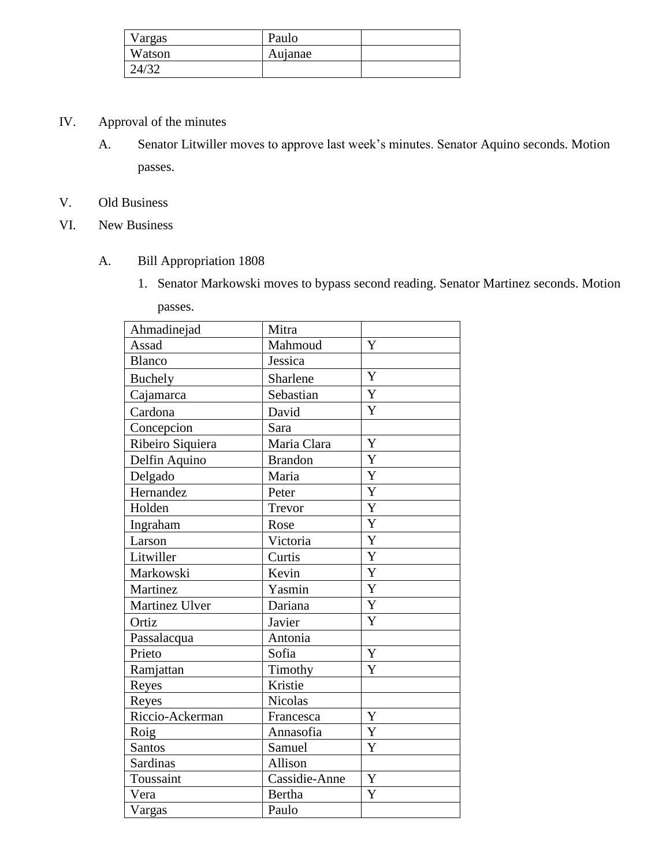| Vargas | Paulo   |  |
|--------|---------|--|
| Watson | Aujanae |  |
| 24/32  |         |  |

- IV. Approval of the minutes
	- A. Senator Litwiller moves to approve last week's minutes. Senator Aquino seconds. Motion passes.
- V. Old Business
- VI. New Business
	- A. Bill Appropriation 1808
		- 1. Senator Markowski moves to bypass second reading. Senator Martinez seconds. Motion

passes.

| Ahmadinejad      | Mitra          |                |
|------------------|----------------|----------------|
| Assad            | Mahmoud        | Y              |
| <b>Blanco</b>    | Jessica        |                |
| <b>Buchely</b>   | Sharlene       | Y              |
| Cajamarca        | Sebastian      | Y              |
| Cardona          | David          | Y              |
| Concepcion       | Sara           |                |
| Ribeiro Siquiera | Maria Clara    | Y              |
| Delfin Aquino    | <b>Brandon</b> | Y              |
| Delgado          | Maria          | Y              |
| Hernandez        | Peter          | Y              |
| Holden           | Trevor         | Y              |
| Ingraham         | Rose           | Y              |
| Larson           | Victoria       | Y              |
| Litwiller        | Curtis         | Y              |
| Markowski        | Kevin          | $\overline{Y}$ |
| Martinez         | Yasmin         | Y              |
| Martinez Ulver   | Dariana        | Y              |
| Ortiz            | Javier         | Y              |
| Passalacqua      | Antonia        |                |
| Prieto           | Sofia          | Y              |
| Ramjattan        | Timothy        | Y              |
| Reyes            | Kristie        |                |
| Reyes            | Nicolas        |                |
| Riccio-Ackerman  | Francesca      | Y              |
| Roig             | Annasofia      | Y              |
| <b>Santos</b>    | Samuel         | Y              |
| Sardinas         | Allison        |                |
| Toussaint        | Cassidie-Anne  | Y              |
| Vera             | <b>Bertha</b>  | Y              |
| Vargas           | Paulo          |                |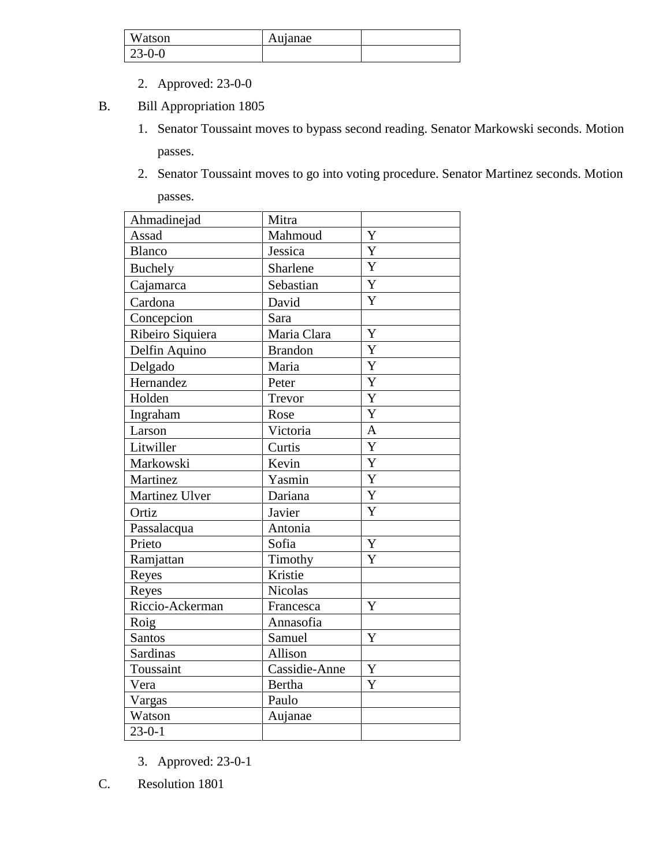| Watson   | Aujanae |  |
|----------|---------|--|
| $23-0-0$ |         |  |

- 2. Approved: 23-0-0
- B. Bill Appropriation 1805
	- 1. Senator Toussaint moves to bypass second reading. Senator Markowski seconds. Motion passes.
	- 2. Senator Toussaint moves to go into voting procedure. Senator Martinez seconds. Motion passes.

| Ahmadinejad      | Mitra          |                |
|------------------|----------------|----------------|
| Assad            | Mahmoud        | Y              |
| <b>Blanco</b>    | Jessica        | Y              |
| <b>Buchely</b>   | Sharlene       | Y              |
| Cajamarca        | Sebastian      | Y              |
| Cardona          | David          | Y              |
| Concepcion       | Sara           |                |
| Ribeiro Siquiera | Maria Clara    | Y              |
| Delfin Aquino    | <b>Brandon</b> | Y              |
| Delgado          | Maria          | Y              |
| Hernandez        | Peter          | $\overline{Y}$ |
| Holden           | Trevor         | Y              |
| Ingraham         | Rose           | Y              |
| Larson           | Victoria       | $\overline{A}$ |
| Litwiller        | Curtis         | Y              |
| Markowski        | Kevin          | Y              |
| Martinez         | Yasmin         | Y              |
| Martinez Ulver   | Dariana        | Y              |
| Ortiz            | Javier         | Y              |
| Passalacqua      | Antonia        |                |
| Prieto           | Sofia          | Y              |
| Ramjattan        | Timothy        | Y              |
| Reyes            | Kristie        |                |
| Reyes            | <b>Nicolas</b> |                |
| Riccio-Ackerman  | Francesca      | Y              |
| Roig             | Annasofia      |                |
| Santos           | Samuel         | Y              |
| Sardinas         | Allison        |                |
| Toussaint        | Cassidie-Anne  | Y              |
| Vera             | <b>Bertha</b>  | Y              |
| Vargas           | Paulo          |                |
| Watson           | Aujanae        |                |
| $23 - 0 - 1$     |                |                |

- 3. Approved: 23-0-1
- C. Resolution 1801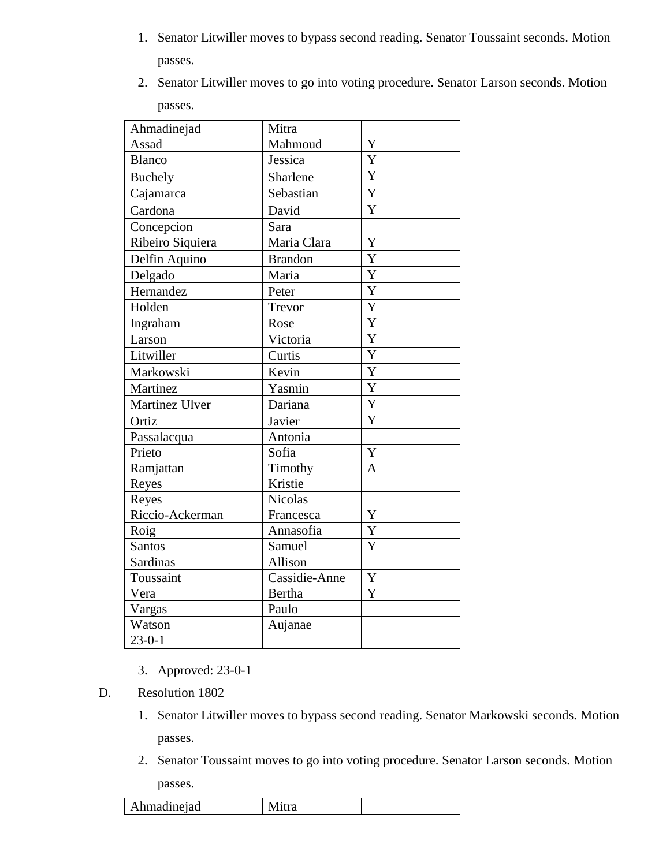1. Senator Litwiller moves to bypass second reading. Senator Toussaint seconds. Motion passes.

| 2. Senator Litwiller moves to go into voting procedure. Senator Larson seconds. Motion |
|----------------------------------------------------------------------------------------|
| passes.                                                                                |

| Ahmadinejad      | Mitra          |                       |
|------------------|----------------|-----------------------|
| Assad            | Mahmoud        | Y                     |
| Blanco           | Jessica        | $\overline{\text{Y}}$ |
| <b>Buchely</b>   | Sharlene       | Y                     |
| Cajamarca        | Sebastian      | $\overline{Y}$        |
| Cardona          | David          | Y                     |
| Concepcion       | Sara           |                       |
| Ribeiro Siquiera | Maria Clara    | $\overline{Y}$        |
| Delfin Aquino    | <b>Brandon</b> | Y                     |
| Delgado          | Maria          | $\overline{Y}$        |
| Hernandez        | Peter          | $\overline{\text{Y}}$ |
| Holden           | Trevor         | $\overline{Y}$        |
| Ingraham         | Rose           | $\overline{\text{Y}}$ |
| Larson           | Victoria       | Y                     |
| Litwiller        | Curtis         | $\overline{Y}$        |
| Markowski        | Kevin          | $\overline{Y}$        |
| Martinez         | Yasmin         | Y                     |
| Martinez Ulver   | Dariana        | Y                     |
| Ortiz            | Javier         | Y                     |
| Passalacqua      | Antonia        |                       |
| Prieto           | Sofia          | Y                     |
| Ramjattan        | Timothy        | A                     |
| Reyes            | Kristie        |                       |
| Reyes            | <b>Nicolas</b> |                       |
| Riccio-Ackerman  | Francesca      | Y                     |
| Roig             | Annasofia      | Y                     |
| Santos           | Samuel         | Y                     |
| Sardinas         | Allison        |                       |
| Toussaint        | Cassidie-Anne  | Y                     |
| Vera             | <b>Bertha</b>  | Y                     |
| Vargas           | Paulo          |                       |
| Watson           | Aujanae        |                       |
| $23 - 0 - 1$     |                |                       |

- 3. Approved: 23-0-1
- D. Resolution 1802
	- 1. Senator Litwiller moves to bypass second reading. Senator Markowski seconds. Motion passes.
	- 2. Senator Toussaint moves to go into voting procedure. Senator Larson seconds. Motion passes.

| hmadineiad<br>AII<br>, |
|------------------------|
|------------------------|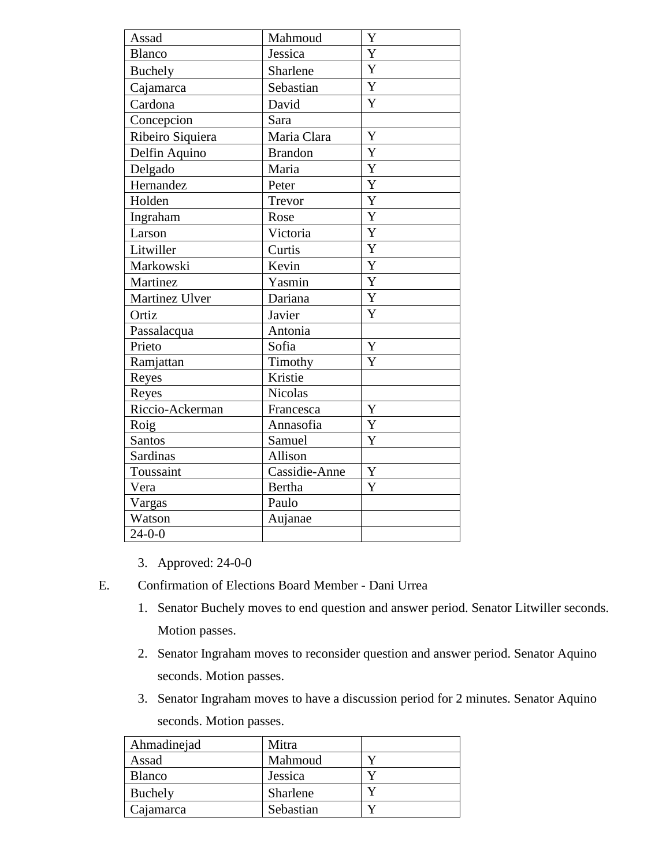| Assad            | Mahmoud        | Y                     |
|------------------|----------------|-----------------------|
| <b>Blanco</b>    | Jessica        | $\overline{\text{Y}}$ |
| <b>Buchely</b>   | Sharlene       | $\overline{Y}$        |
| Cajamarca        | Sebastian      | Y                     |
| Cardona          | David          | Y                     |
| Concepcion       | Sara           |                       |
| Ribeiro Siquiera | Maria Clara    | Y                     |
| Delfin Aquino    | <b>Brandon</b> | Y                     |
| Delgado          | Maria          | $\overline{Y}$        |
| Hernandez        | Peter          | $\overline{Y}$        |
| Holden           | Trevor         | Y                     |
| Ingraham         | Rose           | Y                     |
| Larson           | Victoria       | Y                     |
| Litwiller        | Curtis         | $\overline{Y}$        |
| Markowski        | Kevin          | Y                     |
| Martinez         | Yasmin         | $\overline{Y}$        |
| Martinez Ulver   | Dariana        | Y                     |
| Ortiz            | Javier         | Y                     |
| Passalacqua      | Antonia        |                       |
| Prieto           | Sofia          | Y                     |
| Ramjattan        | Timothy        | Y                     |
| Reyes            | Kristie        |                       |
| Reyes            | <b>Nicolas</b> |                       |
| Riccio-Ackerman  | Francesca      | Y                     |
| Roig             | Annasofia      | $\overline{Y}$        |
| <b>Santos</b>    | Samuel         | Y                     |
| <b>Sardinas</b>  | Allison        |                       |
| Toussaint        | Cassidie-Anne  | Y                     |
| Vera             | Bertha         | Y                     |
| Vargas           | Paulo          |                       |
| Watson           | Aujanae        |                       |
| $24 - 0 - 0$     |                |                       |

- 3. Approved: 24-0-0
- E. Confirmation of Elections Board Member Dani Urrea
	- 1. Senator Buchely moves to end question and answer period. Senator Litwiller seconds. Motion passes.
	- 2. Senator Ingraham moves to reconsider question and answer period. Senator Aquino seconds. Motion passes.
	- 3. Senator Ingraham moves to have a discussion period for 2 minutes. Senator Aquino seconds. Motion passes.

| Ahmadinejad   | Mitra     |  |
|---------------|-----------|--|
| Assad         | Mahmoud   |  |
| <b>Blanco</b> | Jessica   |  |
| Buchely       | Sharlene  |  |
| Cajamarca     | Sebastian |  |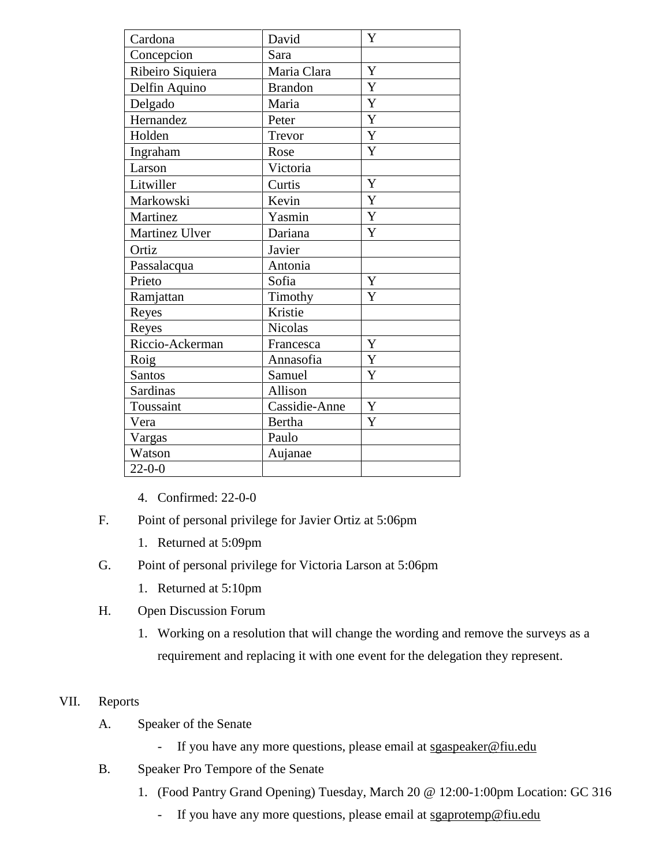| Cardona          | David          | Y           |
|------------------|----------------|-------------|
| Concepcion       | Sara           |             |
| Ribeiro Siquiera | Maria Clara    | Y           |
| Delfin Aquino    | <b>Brandon</b> | Y           |
| Delgado          | Maria          | Y           |
| Hernandez        | Peter          | Y           |
| Holden           | Trevor         | $\mathbf Y$ |
| Ingraham         | Rose           | Y           |
| Larson           | Victoria       |             |
| Litwiller        | Curtis         | Y           |
| Markowski        | Kevin          | Y           |
| Martinez         | Yasmin         | $\mathbf Y$ |
| Martinez Ulver   | Dariana        | Y           |
| Ortiz            | Javier         |             |
| Passalacqua      | Antonia        |             |
| Prieto           | Sofia          | Y           |
| Ramjattan        | Timothy        | Y           |
| Reyes            | Kristie        |             |
| Reyes            | <b>Nicolas</b> |             |
| Riccio-Ackerman  | Francesca      | Y           |
| Roig             | Annasofia      | Y           |
| Santos           | Samuel         | Y           |
| Sardinas         | Allison        |             |
| Toussaint        | Cassidie-Anne  | Y           |
| Vera             | <b>Bertha</b>  | Y           |
| Vargas           | Paulo          |             |
| Watson           | Aujanae        |             |
| $22 - 0 - 0$     |                |             |

- 4. Confirmed: 22-0-0
- F. Point of personal privilege for Javier Ortiz at 5:06pm
	- 1. Returned at 5:09pm
- G. Point of personal privilege for Victoria Larson at 5:06pm
	- 1. Returned at 5:10pm
- H. Open Discussion Forum
	- 1. Working on a resolution that will change the wording and remove the surveys as a requirement and replacing it with one event for the delegation they represent.

# VII. Reports

- A. Speaker of the Senate
	- If you have any more questions, please email at sgaspeaker@fiu.edu
- B. Speaker Pro Tempore of the Senate
	- 1. (Food Pantry Grand Opening) Tuesday, March 20 @ 12:00-1:00pm Location: GC 316
		- If you have any more questions, please email at sgaprotemp@fiu.edu